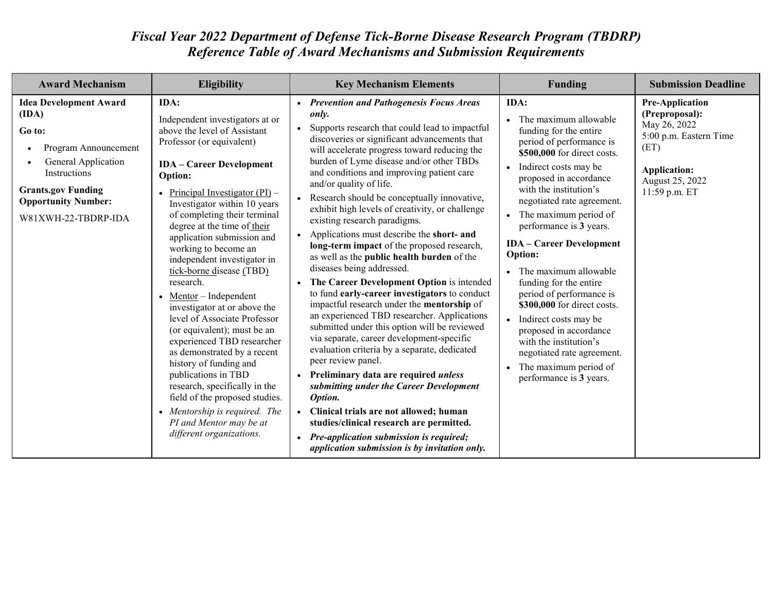## *Fiscal Year 2022 Department of Defense Tick-Borne Disease Research Program (TBDRP) Reference Table of Award Mechanisms and Submission Requirements*

| <b>Award Mechanism</b>                                                                                                                                                                                                | Eligibility                                                                                                                                                                                                                                                                                                                                                                                                                                                                                                                                                                                                                                                                                                                                                                                                               | <b>Key Mechanism Elements</b>                                                                                                                                                                                                                                                                                                                                                                                                                                                                                                                                                                                                                                                                                                                                                                                                                                                                                                                                                                                                                                                                                                                                                                                                                                                                                                                    | <b>Funding</b>                                                                                                                                                                                                                                                                                                                                                                                                                                                                                                                                                                                                                                      | <b>Submission Deadline</b>                                                                                                                            |
|-----------------------------------------------------------------------------------------------------------------------------------------------------------------------------------------------------------------------|---------------------------------------------------------------------------------------------------------------------------------------------------------------------------------------------------------------------------------------------------------------------------------------------------------------------------------------------------------------------------------------------------------------------------------------------------------------------------------------------------------------------------------------------------------------------------------------------------------------------------------------------------------------------------------------------------------------------------------------------------------------------------------------------------------------------------|--------------------------------------------------------------------------------------------------------------------------------------------------------------------------------------------------------------------------------------------------------------------------------------------------------------------------------------------------------------------------------------------------------------------------------------------------------------------------------------------------------------------------------------------------------------------------------------------------------------------------------------------------------------------------------------------------------------------------------------------------------------------------------------------------------------------------------------------------------------------------------------------------------------------------------------------------------------------------------------------------------------------------------------------------------------------------------------------------------------------------------------------------------------------------------------------------------------------------------------------------------------------------------------------------------------------------------------------------|-----------------------------------------------------------------------------------------------------------------------------------------------------------------------------------------------------------------------------------------------------------------------------------------------------------------------------------------------------------------------------------------------------------------------------------------------------------------------------------------------------------------------------------------------------------------------------------------------------------------------------------------------------|-------------------------------------------------------------------------------------------------------------------------------------------------------|
| <b>Idea Development Award</b><br>(IDA)<br>Go to:<br>Program Announcement<br>$\bullet$<br>General Application<br><b>Instructions</b><br><b>Grants.gov Funding</b><br><b>Opportunity Number:</b><br>W81XWH-22-TBDRP-IDA | IDA:<br>Independent investigators at or<br>above the level of Assistant<br>Professor (or equivalent)<br><b>IDA</b> – Career Development<br><b>Option:</b><br>Principal Investigator $(PI)$ –<br>Investigator within 10 years<br>of completing their terminal<br>degree at the time of their<br>application submission and<br>working to become an<br>independent investigator in<br>tick-borne disease (TBD)<br>research.<br>Mentor – Independent<br>investigator at or above the<br>level of Associate Professor<br>(or equivalent); must be an<br>experienced TBD researcher<br>as demonstrated by a recent<br>history of funding and<br>publications in TBD<br>research, specifically in the<br>field of the proposed studies.<br>• Mentorship is required. The<br>PI and Mentor may be at<br>different organizations. | • Prevention and Pathogenesis Focus Areas<br>only.<br>Supports research that could lead to impactful<br>discoveries or significant advancements that<br>will accelerate progress toward reducing the<br>burden of Lyme disease and/or other TBDs<br>and conditions and improving patient care<br>and/or quality of life.<br>Research should be conceptually innovative,<br>exhibit high levels of creativity, or challenge<br>existing research paradigms.<br>Applications must describe the short- and<br>$\bullet$<br>long-term impact of the proposed research,<br>as well as the public health burden of the<br>diseases being addressed.<br>The Career Development Option is intended<br>to fund early-career investigators to conduct<br>impactful research under the mentorship of<br>an experienced TBD researcher. Applications<br>submitted under this option will be reviewed<br>via separate, career development-specific<br>evaluation criteria by a separate, dedicated<br>peer review panel.<br>Preliminary data are required <i>unless</i><br>$\bullet$<br>submitting under the Career Development<br>Option.<br>Clinical trials are not allowed; human<br>$\bullet$<br>studies/clinical research are permitted.<br><b>Pre-application submission is required;</b><br>$\bullet$<br>application submission is by invitation only. | IDA:<br>The maximum allowable<br>funding for the entire<br>period of performance is<br>\$500,000 for direct costs.<br>Indirect costs may be<br>$\bullet$<br>proposed in accordance<br>with the institution's<br>negotiated rate agreement.<br>The maximum period of<br>performance is 3 years.<br><b>IDA</b> – Career Development<br>Option:<br>The maximum allowable<br>$\bullet$<br>funding for the entire<br>period of performance is<br>\$300,000 for direct costs.<br>Indirect costs may be<br>$\bullet$<br>proposed in accordance<br>with the institution's<br>negotiated rate agreement.<br>The maximum period of<br>performance is 3 years. | <b>Pre-Application</b><br>(Preproposal):<br>May 26, 2022<br>5:00 p.m. Eastern Time<br>(ET)<br><b>Application:</b><br>August 25, 2022<br>11:59 p.m. ET |